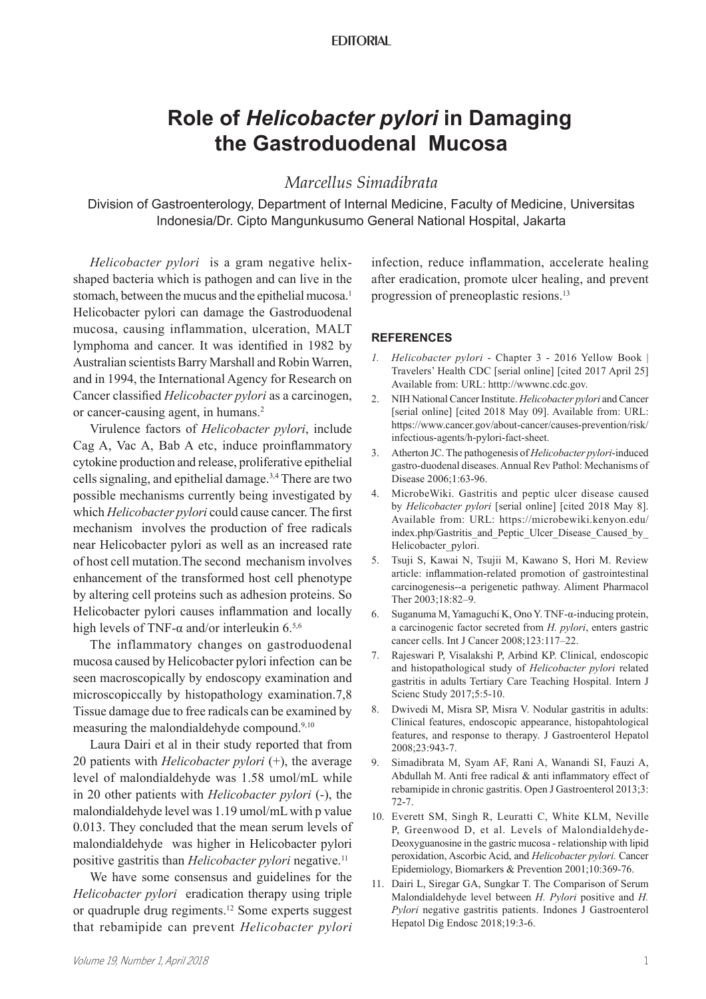## **EDITORIAL**

## **Role of** *Helicobacter pylori* **in Damaging the Gastroduodenal Mucosa**

## *Marcellus Simadibrata*

Division of Gastroenterology, Department of Internal Medicine, Faculty of Medicine, Universitas Indonesia/Dr. Cipto Mangunkusumo General National Hospital, Jakarta

*Helicobacter pylori* is a gram negative helixshaped bacteria which is pathogen and can live in the stomach, between the mucus and the epithelial mucosa.<sup>1</sup> Helicobacter pylori can damage the Gastroduodenal mucosa, causing inflammation, ulceration, MALT lymphoma and cancer. It was identified in 1982 by Australian scientists Barry Marshall and Robin Warren, and in 1994, the International Agency for Research on Cancer classified *Helicobacter pylori* as a carcinogen, or cancer-causing agent, in humans.<sup>2</sup>

Virulence factors of *Helicobacter pylori*, include Cag A, Vac A, Bab A etc, induce proinflammatory cytokine production and release, proliferative epithelial cells signaling, and epithelial damage.3,4 There are two possible mechanisms currently being investigated by which *Helicobacter pylori* could cause cancer. The first mechanism involves the production of free radicals near Helicobacter pylori as well as an increased rate of host cell mutation.The second mechanism involves enhancement of the transformed host cell phenotype by altering cell proteins such as adhesion proteins. So Helicobacter pylori causes inflammation and locally high levels of TNF- $\alpha$  and/or interleukin 6.5,6

The inflammatory changes on gastroduodenal mucosa caused by Helicobacter pylori infection can be seen macroscopically by endoscopy examination and microscopiccally by histopathology examination.7,8 Tissue damage due to free radicals can be examined by measuring the malondialdehyde compound.9,10

Laura Dairi et al in their study reported that from 20 patients with *Helicobacter pylori* (+), the average level of malondialdehyde was 1.58 umol/mL while in 20 other patients with *Helicobacter pylori* (-), the malondialdehyde level was 1.19 umol/mL with p value 0.013. They concluded that the mean serum levels of malondialdehyde was higher in Helicobacter pylori positive gastritis than *Helicobacter pylori* negative.<sup>11</sup>

We have some consensus and guidelines for the *Helicobacter pylori* eradication therapy using triple or quadruple drug regiments.<sup>12</sup> Some experts suggest that rebamipide can prevent *Helicobacter pylori* 

infection, reduce inflammation, accelerate healing after eradication, promote ulcer healing, and prevent progression of preneoplastic resions.<sup>13</sup>

## **REFERENCES**

- *1. Helicobacter pylori*  Chapter 3 2016 Yellow Book | Travelers' Health CDC [serial online] [cited 2017 April 25] Available from: URL: htttp://wwwnc.cdc.gov.
- 2. NIH National Cancer Institute. *Helicobacter pylori* and Cancer [serial online] [cited 2018 May 09]. Available from: URL: https://www.cancer.gov/about-cancer/causes-prevention/risk/ infectious-agents/h-pylori-fact-sheet.
- 3. Atherton JC. The pathogenesis of *Helicobacter pylori*-induced gastro-duodenal diseases. Annual Rev Pathol: Mechanisms of Disease 2006;1:63-96.
- 4. MicrobeWiki. Gastritis and peptic ulcer disease caused by *Helicobacter pylori* [serial online] [cited 2018 May 8]. Available from: URL: https://microbewiki.kenyon.edu/ index.php/Gastritis\_and\_Peptic\_Ulcer\_Disease\_Caused\_by Helicobacter\_pylori.
- 5. Tsuji S, Kawai N, Tsujii M, Kawano S, Hori M. Review article: inflammation-related promotion of gastrointestinal carcinogenesis--a perigenetic pathway. Aliment Pharmacol Ther 2003;18:82–9.
- 6. Suganuma M, Yamaguchi K, Ono Y. TNF-α-inducing protein, a carcinogenic factor secreted from *H. pylori*, enters gastric cancer cells. Int J Cancer 2008;123:117–22.
- 7. Rajeswari P, Visalakshi P, Arbind KP. Clinical, endoscopic and histopathological study of *Helicobacter pylori* related gastritis in adults Tertiary Care Teaching Hospital. Intern J Scienc Study 2017;5:5-10.
- 8. Dwivedi M, Misra SP, Misra V. Nodular gastritis in adults: Clinical features, endoscopic appearance, histopahtological features, and response to therapy. J Gastroenterol Hepatol 2008;23:943-7.
- 9. Simadibrata M, Syam AF, Rani A, Wanandi SI, Fauzi A, Abdullah M. Anti free radical & anti inflammatory effect of rebamipide in chronic gastritis. Open J Gastroenterol 2013;3: 72-7.
- 10. Everett SM, Singh R, Leuratti C, White KLM, Neville P, Greenwood D, et al. Levels of Malondialdehyde-Deoxyguanosine in the gastric mucosa - relationship with lipid peroxidation, Ascorbic Acid, and *Helicobacter pylori.* Cancer Epidemiology, Biomarkers & Prevention 2001;10:369-76.
- 11. Dairi L, Siregar GA, Sungkar T. The Comparison of Serum Malondialdehyde level between *H. Pylori* positive and *H. Pylori* negative gastritis patients. Indones J Gastroenterol Hepatol Dig Endosc 2018;19:3-6.